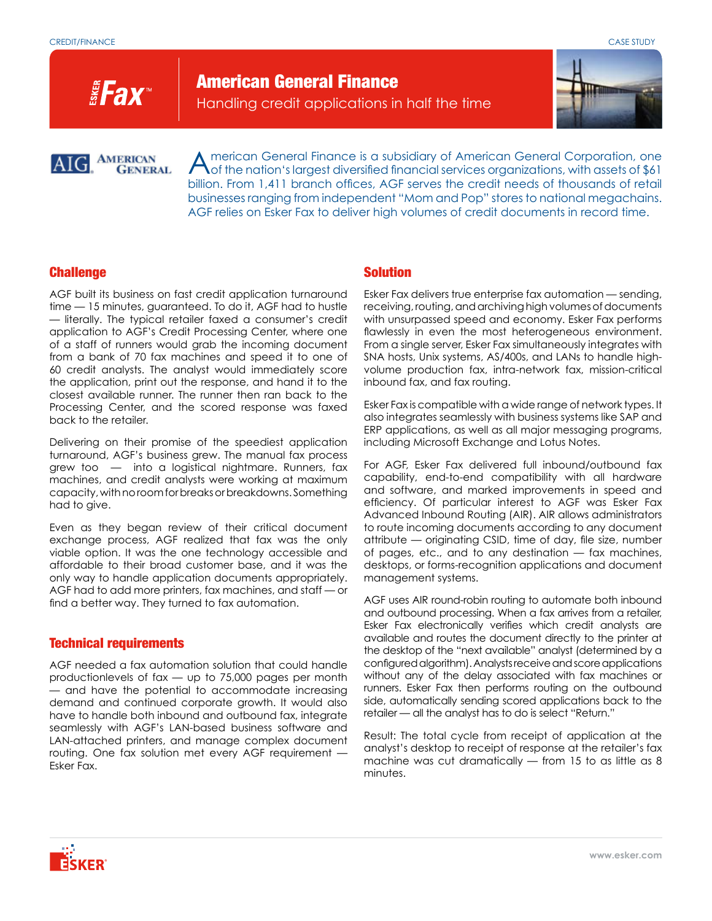**EFax** 

American General Finance Handling credit applications in half the time



**AMERICAN GENERAL** 

American General Finance is a subsidiary of American General Corporation, one<br>
of the nation's largest diversified financial services organizations, with assets of \$61 billion. From 1,411 branch offices, AGF serves the credit needs of thousands of retail businesses ranging from independent "Mom and Pop" stores to national megachains. AGF relies on Esker Fax to deliver high volumes of credit documents in record time.

## Challenge

AGF built its business on fast credit application turnaround time — 15 minutes, guaranteed. To do it, AGF had to hustle — literally. The typical retailer faxed a consumer's credit application to AGF's Credit Processing Center, where one of a staff of runners would grab the incoming document from a bank of 70 fax machines and speed it to one of 60 credit analysts. The analyst would immediately score the application, print out the response, and hand it to the closest available runner. The runner then ran back to the Processing Center, and the scored response was faxed back to the retailer.

Delivering on their promise of the speediest application turnaround, AGF's business grew. The manual fax process grew too — into a logistical nightmare. Runners, fax machines, and credit analysts were working at maximum capacity, with no room for breaks or breakdowns. Something had to give.

Even as they began review of their critical document exchange process, AGF realized that fax was the only viable option. It was the one technology accessible and affordable to their broad customer base, and it was the only way to handle application documents appropriately. AGF had to add more printers, fax machines, and staff — or find a better way. They turned to fax automation.

## Technical requirements

AGF needed a fax automation solution that could handle productionlevels of fax — up to 75,000 pages per month — and have the potential to accommodate increasing demand and continued corporate growth. It would also have to handle both inbound and outbound fax, integrate seamlessly with AGF's LAN-based business software and LAN-attached printers, and manage complex document routing. One fax solution met every AGF requirement — Esker Fax.

# Solution

Esker Fax delivers true enterprise fax automation — sending, receiving, routing, and archiving high volumes of documents with unsurpassed speed and economy. Esker Fax performs flawlessly in even the most heterogeneous environment. From a single server, Esker Fax simultaneously integrates with SNA hosts, Unix systems, AS/400s, and LANs to handle highvolume production fax, intra-network fax, mission-critical inbound fax, and fax routing.

Esker Fax is compatible with a wide range of network types. It also integrates seamlessly with business systems like SAP and ERP applications, as well as all major messaging programs, including Microsoft Exchange and Lotus Notes.

For AGF, Esker Fax delivered full inbound/outbound fax capability, end-to-end compatibility with all hardware and software, and marked improvements in speed and efficiency. Of particular interest to AGF was Esker Fax Advanced Inbound Routing (AIR). AIR allows administrators to route incoming documents according to any document attribute — originating CSID, time of day, file size, number of pages, etc., and to any destination — fax machines, desktops, or forms-recognition applications and document management systems.

AGF uses AIR round-robin routing to automate both inbound and outbound processing. When a fax arrives from a retailer, Esker Fax electronically verifies which credit analysts are available and routes the document directly to the printer at the desktop of the "next available" analyst (determined by a configured algorithm). Analysts receive and score applications without any of the delay associated with fax machines or runners. Esker Fax then performs routing on the outbound side, automatically sending scored applications back to the retailer — all the analyst has to do is select "Return."

Result: The total cycle from receipt of application at the analyst's desktop to receipt of response at the retailer's fax machine was cut dramatically — from 15 to as little as 8 minutes.